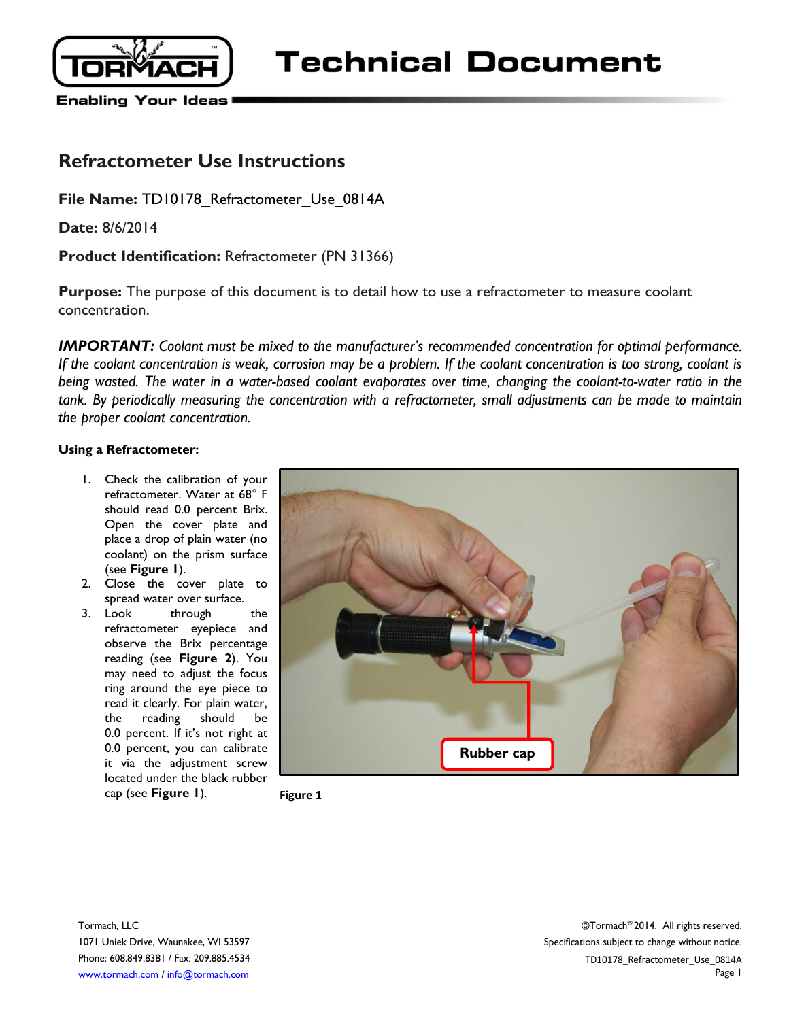

**Technical Document** 

**Enabling Your Ideas** 

## **Refractometer Use Instructions**

File Name: TD10178 Refractometer Use 0814A

**Date:** 8/6/2014

**Product Identification:** Refractometer (PN 31366)

**Purpose:** The purpose of this document is to detail how to use a refractometer to measure coolant concentration.

*IMPORTANT:* Coolant must be mixed to the manufacturer's recommended concentration for optimal performance. *If the coolant concentration is weak, corrosion may be a problem. If the coolant concentration is too strong, coolant is being wasted. The water in a water-based coolant evaporates over time, changing the coolant-to-water ratio in the tank. By periodically measuring the concentration with a refractometer, small adjustments can be made to maintain the proper coolant concentration.*

## **Using a Refractometer:**

- 1. Check the calibration of your refractometer. Water at 68° F should read 0.0 percent Brix. Open the cover plate and place a drop of plain water (no coolant) on the prism surface (see **Figure 1**).
- 2. Close the cover plate to spread water over surface.
- 3. Look through the refractometer eyepiece and observe the Brix percentage reading (see **Figure 2**). You may need to adjust the focus ring around the eye piece to read it clearly. For plain water, the reading should be 0.0 percent. If it's not right at 0.0 percent, you can calibrate it via the adjustment screw located under the black rubber cap (see **Figure 1**). **Figure 1**